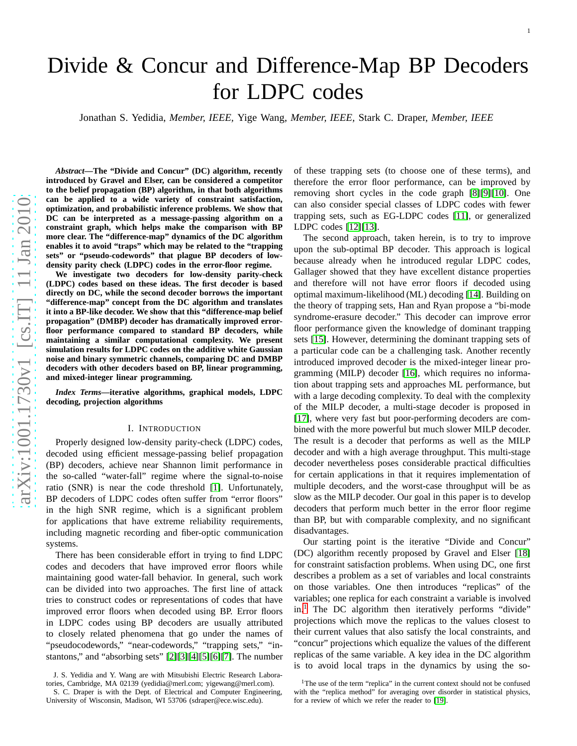# Divide & Concur and Difference-Map BP Decoders for LDPC codes

Jonathan S. Yedidia, *Member, IEEE,* Yige Wang, *Member, IEEE,* Stark C. Draper, *Member, IEEE*

*Abstract***—The "Divide and Concur" (DC) algorithm, recently introduced by Gravel and Elser, can be considered a competitor to the belief propagation (BP) algorithm, in that both algorithms can be applied to a wide variety of constraint satisfaction, optimization, and probabilistic inference problems. We show that DC can be interpreted as a message-passing algorithm on a constraint graph, which helps make the comparison with BP more clear. The "difference-map" dynamics of the DC algorithm enables it to avoid "traps" which may be related to the "trapping sets" or "pseudo-codewords" that plague BP decoders of lowdensity parity check (LDPC) codes in the error-floor regime.**

**We investigate two decoders for low-density parity-check (LDPC) codes based on these ideas. The first decoder is based directly on DC, while the second decoder borrows the important "difference-map" concept from the DC algorithm and translates it into a BP-like decoder. We show that this "difference-map belief propagation" (DMBP) decoder has dramatically improved errorfloor performance compared to standard BP decoders, while maintaining a similar computational complexity. We presen t simulation results for LDPC codes on the additive white Gaussian noise and binary symmetric channels, comparing DC and DMBP decoders with other decoders based on BP, linear programming, and mixed-integer linear programming.**

*Index Terms***—iterative algorithms, graphical models, LDPC decoding, projection algorithms**

#### I. INTRODUCTION

Properly designed low-density parity-check (LDPC) codes, decoded using efficient message-passing belief propagatio n (BP) decoders, achieve near Shannon limit performance in the so-called "water-fall" regime where the signal-to-noise ratio (SNR) is near the code threshold [\[1\]](#page-8-0). Unfortunately, BP decoders of LDPC codes often suffer from "error floors" in the high SNR regime, which is a significant problem for applications that have extreme reliability requirements, including magnetic recording and fiber-optic communicatio n systems.

There has been considerable effort in trying to find LDPC codes and decoders that have improved error floors while maintaining good water-fall behavior. In general, such wor k can be divided into two approaches. The first line of attack tries to construct codes or representations of codes that have improved error floors when decoded using BP. Error floors in LDPC codes using BP decoders are usually attributed to closely related phenomena that go under the names of "pseudocodewords," "near-codewords," "trapping sets," "instantons," and "absorbing sets" [\[2\]](#page-8-1)[\[3\]](#page-8-2)[\[4\]](#page-8-3)[\[5\]](#page-8-4)[\[6\]](#page-8-5)[\[7\]](#page-8-6). The number

of these trapping sets (to choose one of these terms), and therefore the error floor performance, can be improved by removing short cycles in the code graph [\[8\]](#page-8-7)[\[9\]](#page-8-8)[\[10\]](#page-8-9). One can also consider special classes of LDPC codes with fewer trapping sets, such as EG-LDPC codes [\[11\]](#page-9-0), or generalized LDPC codes [\[12\]](#page-9-1)[\[13\]](#page-9-2).

The second approach, taken herein, is to try to improve upon the sub-optimal BP decoder. This approach is logical because already when he introduced regular LDPC codes, Gallager showed that they have excellent distance properties and therefore will not have error floors if decoded using optimal maximum-likelihood (ML) decoding [\[14\]](#page-9-3). Building o n the theory of trapping sets, Han and Ryan propose a "bi-mode syndrome-erasure decoder." This decoder can improve error floor performance given the knowledge of dominant trapping sets [\[15\]](#page-9-4). However, determining the dominant trapping sets of a particular code can be a challenging task. Another recentl y introduced improved decoder is the mixed-integer linear programming (MILP) decoder [\[16\]](#page-9-5), which requires no information about trapping sets and approaches ML performance, but with a large decoding complexity. To deal with the complexity of the MILP decoder, a multi-stage decoder is proposed in [\[17\]](#page-9-6), where very fast but poor-performing decoders are combined with the more powerful but much slower MILP decoder. The result is a decoder that performs as well as the MILP decoder and with a high average throughput. This multi-stag e decoder nevertheless poses considerable practical difficulties for certain applications in that it requires implementation of multiple decoders, and the worst-case throughput will be as slow as the MILP decoder. Our goal in this paper is to develop decoders that perform much better in the error floor regime than BP, but with comparable complexity, and no significant disadvantages.

Our starting point is the iterative "Divide and Concur" (DC) algorithm recently proposed by Gravel and Elser [\[18\]](#page-9-7) for constraint satisfaction problems. When using DC, one first describes a problem as a set of variables and local constraints on those variables. One then introduces "replicas" of the variables; one replica for each constraint a variable is involved in.<sup>[1](#page-0-0)</sup> The DC algorithm then iteratively performs "divide" projections which move the replicas to the values closest to their current values that also satisfy the local constraints, and "concur" projections which equalize the values of the different replicas of the same variable. A key idea in the DC algorithm is to avoid local traps in the dynamics by using the so-

J. S. Yedidia and Y. Wang are with Mitsubishi Electric Research Laboratories, Cambridge, MA 02139 (yedidia@merl.com; yigewang@merl.com).

S. C. Draper is with the Dept. of Electrical and Computer Engineering, University of Wisconsin, Madison, WI 53706 (sdraper@ece.wisc.edu).

<span id="page-0-0"></span><sup>&</sup>lt;sup>1</sup>The use of the term "replica" in the current context should not be confused with the "replica method" for averaging over disorder in statistical physics, for a review of which we refer the reader to [\[19\]](#page-9-8).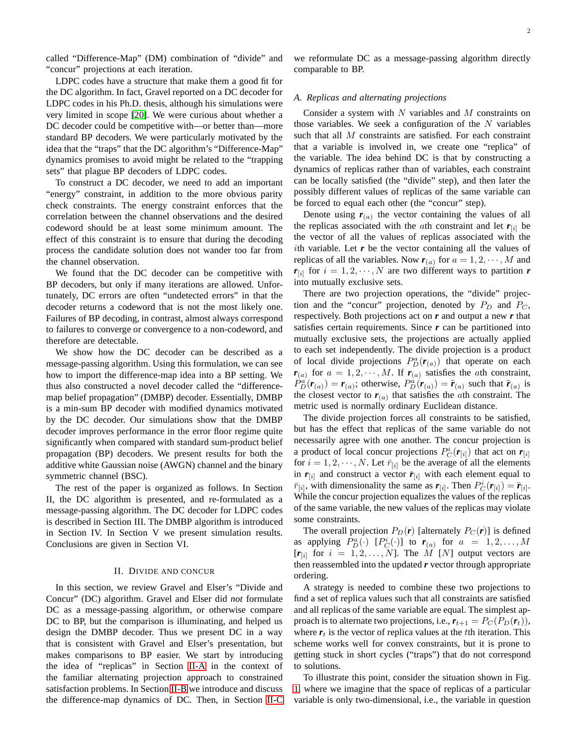called "Difference-Map" (DM) combination of "divide" and "concur" projections at each iteration.

LDPC codes have a structure that make them a good fit for the DC algorithm. In fact, Gravel reported on a DC decoder for LDPC codes in his Ph.D. thesis, although his simulations were very limited in scope [\[20\]](#page-9-9). We were curious about whether a DC decoder could be competitive with—or better than—more standard BP decoders. We were particularly motivated by the idea that the "traps" that the DC algorithm's "Difference-Map" dynamics promises to avoid might be related to the "trapping sets" that plague BP decoders of LDPC codes.

To construct a DC decoder, we need to add an important "energy" constraint, in addition to the more obvious parity check constraints. The energy constraint enforces that the correlation between the channel observations and the desired codeword should be at least some minimum amount. The effect of this constraint is to ensure that during the decoding process the candidate solution does not wander too far from the channel observation.

We found that the DC decoder can be competitive with BP decoders, but only if many iterations are allowed. Unfortunately, DC errors are often "undetected errors" in that the decoder returns a codeword that is not the most likely one. Failures of BP decoding, in contrast, almost always correspond to failures to converge or convergence to a non-codeword, and therefore are detectable.

We show how the DC decoder can be described as a message-passing algorithm. Using this formulation, we can see how to import the difference-map idea into a BP setting. We thus also constructed a novel decoder called the "differencemap belief propagation" (DMBP) decoder. Essentially, DMBP is a min-sum BP decoder with modified dynamics motivated by the DC decoder. Our simulations show that the DMBP decoder improves performance in the error floor regime quite significantly when compared with standard sum-product belief propagation (BP) decoders. We present results for both the additive white Gaussian noise (AWGN) channel and the binary symmetric channel (BSC).

The rest of the paper is organized as follows. In Section II, the DC algorithm is presented, and re-formulated as a message-passing algorithm. The DC decoder for LDPC codes is described in Section III. The DMBP algorithm is introduced in Section IV. In Section V we present simulation results. Conclusions are given in Section VI.

#### II. DIVIDE AND CONCUR

In this section, we review Gravel and Elser's "Divide and Concur" (DC) algorithm. Gravel and Elser did *not* formulate DC as a message-passing algorithm, or otherwise compare DC to BP, but the comparison is illuminating, and helped us design the DMBP decoder. Thus we present DC in a way that is consistent with Gravel and Elser's presentation, but makes comparisons to BP easier. We start by introducing the idea of "replicas" in Section [II-A](#page-1-0) in the context of the familiar alternating projection approach to constrained satisfaction problems. In Section [II-B](#page-2-0) we introduce and discuss the difference-map dynamics of DC. Then, in Section [II-C](#page-2-1) we reformulate DC as a message-passing algorithm directly comparable to BP.

## <span id="page-1-0"></span>*A. Replicas and alternating projections*

Consider a system with  $N$  variables and  $M$  constraints on those variables. We seek a configuration of the  $N$  variables such that all M constraints are satisfied. For each constraint that a variable is involved in, we create one "replica" of the variable. The idea behind DC is that by constructing a dynamics of replicas rather than of variables, each constraint can be locally satisfied (the "divide" step), and then later the possibly different values of replicas of the same variable can be forced to equal each other (the "concur" step).

Denote using  $r_{(a)}$  the vector containing the values of all the replicas associated with the *a*th constraint and let  $r_{[i]}$  be the vector of all the values of replicas associated with the ith variable. Let  $r$  be the vector containing all the values of replicas of all the variables. Now  $r_{(a)}$  for  $a = 1, 2, \dots, M$  and  $r_{[i]}$  for  $i = 1, 2, \cdots, N$  are two different ways to partition *r* into mutually exclusive sets.

There are two projection operations, the "divide" projection and the "concur" projection, denoted by  $P_D$  and  $P_C$ , respectively. Both projections act on *r* and output a new *r* that satisfies certain requirements. Since *r* can be partitioned into mutually exclusive sets, the projections are actually applied to each set independently. The divide projection is a product of local divide projections  $P_D^a(\mathbf{r}_{(a)})$  that operate on each  $r_{(a)}$  for  $a = 1, 2, \dots, M$ . If  $r_{(a)}$  satisfies the *ath* constraint,  $P_D^a(\mathbf{r}_{(a)}) = \mathbf{r}_{(a)}$ ; otherwise,  $P_D^{\dot{a}}(\mathbf{r}_{(a)}) = \tilde{\mathbf{r}}_{(a)}$  such that  $\tilde{\mathbf{r}}_{(a)}$  is the closest vector to  $r_{(a)}$  that satisfies the *a*th constraint. The metric used is normally ordinary Euclidean distance.

The divide projection forces all constraints to be satisfied, but has the effect that replicas of the same variable do not necessarily agree with one another. The concur projection is a product of local concur projections  $P_C^i(\mathbf{r}_{[i]})$  that act on  $\mathbf{r}_{[i]}$ for  $i = 1, 2, \dots, N$ . Let  $\bar{r}_{[i]}$  be the average of all the elements in  $r_{[i]}$  and construct a vector  $\bar{r}_{[i]}$  with each element equal to  $\bar{r}_{[i]}$ , with dimensionality the same as  $r_{[i]}$ . Then  $P_C^i(r_{[i]}) = \bar{r}_{[i]}$ . While the concur projection equalizes the values of the replicas of the same variable, the new values of the replicas may violate some constraints.

The overall projection  $P_D(r)$  [alternately  $P_C(r)$ ] is defined as applying  $P_D^a(\cdot)$  [ $P_C^i(\cdot)$ ] to  $r_{(a)}$  for  $a = 1, 2, ..., M$  $[r_{[i]}$  for  $i = 1, 2, ..., N]$ . The M [N] output vectors are then reassembled into the updated *r* vector through appropriate ordering.

A strategy is needed to combine these two projections to find a set of replica values such that all constraints are satisfied and all replicas of the same variable are equal. The simplest approach is to alternate two projections, i.e.,  $r_{t+1} = P_C(P_D(r_t)),$ where  $r_t$  is the vector of replica values at the t<sup>th</sup> iteration. This scheme works well for convex constraints, but it is prone to getting stuck in short cycles ("traps") that do not correspond to solutions.

To illustrate this point, consider the situation shown in Fig. [1,](#page-2-2) where we imagine that the space of replicas of a particular variable is only two-dimensional, i.e., the variable in question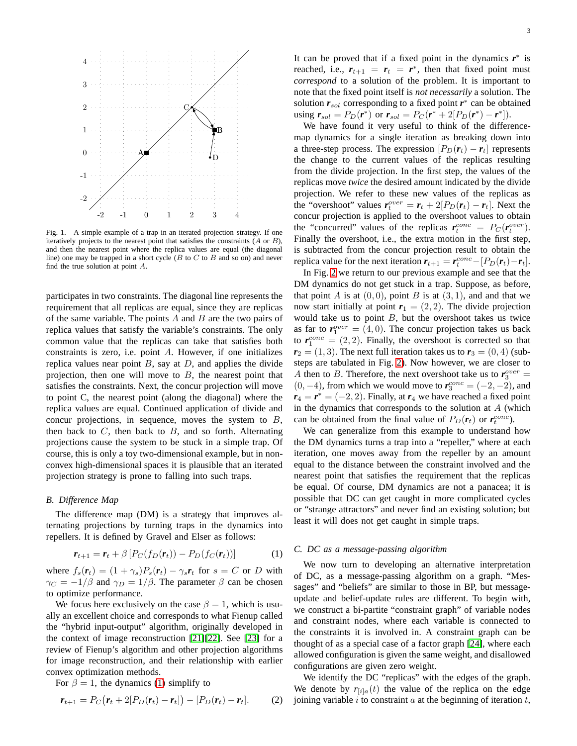

<span id="page-2-2"></span>Fig. 1. A simple example of a trap in an iterated projection strategy. If one iteratively projects to the nearest point that satisfies the constraints  $(A \text{ or } B)$ , and then the nearest point where the replica values are equal (the diagonal line) one may be trapped in a short cycle  $(B$  to  $C$  to  $B$  and so on) and never find the true solution at point A.

participates in two constraints. The diagonal line represents the requirement that all replicas are equal, since they are replicas of the same variable. The points  $A$  and  $B$  are the two pairs of replica values that satisfy the variable's constraints. The only common value that the replicas can take that satisfies both constraints is zero, i.e. point A. However, if one initializes replica values near point  $B$ , say at  $D$ , and applies the divide projection, then one will move to  $B$ , the nearest point that satisfies the constraints. Next, the concur projection will move to point C, the nearest point (along the diagonal) where the replica values are equal. Continued application of divide and concur projections, in sequence, moves the system to  $B$ , then back to  $C$ , then back to  $B$ , and so forth. Alternating projections cause the system to be stuck in a simple trap. Of course, this is only a toy two-dimensional example, but in nonconvex high-dimensional spaces it is plausible that an iterated projection strategy is prone to falling into such traps.

## <span id="page-2-0"></span>*B. Difference Map*

The difference map (DM) is a strategy that improves alternating projections by turning traps in the dynamics into repellers. It is defined by Gravel and Elser as follows:

<span id="page-2-3"></span>
$$
\boldsymbol{r}_{t+1} = \boldsymbol{r}_t + \beta \left[ P_C(f_D(\boldsymbol{r}_t)) - P_D(f_C(\boldsymbol{r}_t)) \right] \tag{1}
$$

where  $f_s(\mathbf{r}_t) = (1 + \gamma_s)P_s(\mathbf{r}_t) - \gamma_s \mathbf{r}_t$  for  $s = C$  or D with  $\gamma_C = -1/\beta$  and  $\gamma_D = 1/\beta$ . The parameter  $\beta$  can be chosen to optimize performance.

We focus here exclusively on the case  $\beta = 1$ , which is usually an excellent choice and corresponds to what Fienup called the "hybrid input-output" algorithm, originally developed in the context of image reconstruction [\[21\]](#page-9-10)[\[22\]](#page-9-11). See [\[23\]](#page-9-12) for a review of Fienup's algorithm and other projection algorithms for image reconstruction, and their relationship with earlier convex optimization methods.

For  $\beta = 1$ , the dynamics [\(1\)](#page-2-3) simplify to

$$
\boldsymbol{r}_{t+1} = P_C(\boldsymbol{r}_t + 2[P_D(\boldsymbol{r}_t) - \boldsymbol{r}_t]) - [P_D(\boldsymbol{r}_t) - \boldsymbol{r}_t].
$$
 (2)

It can be proved that if a fixed point in the dynamics  $r^*$  is reached, i.e.,  $r_{t+1} = r_t = r^*$ , then that fixed point must *correspond* to a solution of the problem. It is important to note that the fixed point itself is *not necessarily* a solution. The solution  $r_{sol}$  corresponding to a fixed point  $r^*$  can be obtained using  $r_{sol} = P_D(r^*)$  or  $r_{sol} = P_C(r^* + 2[P_D(r^*) - r^*]).$ 

We have found it very useful to think of the differencemap dynamics for a single iteration as breaking down into a three-step process. The expression  $[P_D(\mathbf{r}_t) - \mathbf{r}_t]$  represents the change to the current values of the replicas resulting from the divide projection. In the first step, the values of the replicas move *twice* the desired amount indicated by the divide projection. We refer to these new values of the replicas as the "overshoot" values  $r_t^{over} = r_t + 2[P_D(r_t) - r_t]$ . Next the concur projection is applied to the overshoot values to obtain the "concurred" values of the replicas  $r_t^{conc} = P_C(r_t^{over})$ . Finally the overshoot, i.e., the extra motion in the first step, is subtracted from the concur projection result to obtain the replica value for the next iteration  $r_{t+1} = r_t^{conc} - [P_D(r_t) - r_t]$ .

In Fig. [2](#page-3-0) we return to our previous example and see that the DM dynamics do not get stuck in a trap. Suppose, as before, that point A is at  $(0, 0)$ , point B is at  $(3, 1)$ , and and that we now start initially at point  $r_1 = (2, 2)$ . The divide projection would take us to point  $B$ , but the overshoot takes us twice as far to  $r_1^{over} = (4, 0)$ . The concur projection takes us back to  $r_1^{conc} = (2, 2)$ . Finally, the overshoot is corrected so that  $r_2 = (1, 3)$ . The next full iteration takes us to  $r_3 = (0, 4)$  (substeps are tabulated in Fig. [2\)](#page-3-0). Now however, we are closer to A then to B. Therefore, the next overshoot take us to  $\mathbf{r}_3^{over} =$  $(0, -4)$ , from which we would move to  $r_3^{conc} = (-2, -2)$ , and  $r_4 = r^* = (-2, 2)$ . Finally, at  $r_4$  we have reached a fixed point in the dynamics that corresponds to the solution at  $A$  (which can be obtained from the final value of  $P_D(\mathbf{r}_t)$  or  $\mathbf{r}_t^{conc}$ ).

We can generalize from this example to understand how the DM dynamics turns a trap into a "repeller," where at each iteration, one moves away from the repeller by an amount equal to the distance between the constraint involved and the nearest point that satisfies the requirement that the replicas be equal. Of course, DM dynamics are not a panacea; it is possible that DC can get caught in more complicated cycles or "strange attractors" and never find an existing solution; but least it will does not get caught in simple traps.

# <span id="page-2-1"></span>*C. DC as a message-passing algorithm*

We now turn to developing an alternative interpretation of DC, as a message-passing algorithm on a graph. "Messages" and "beliefs" are similar to those in BP, but messageupdate and belief-update rules are different. To begin with, we construct a bi-partite "constraint graph" of variable nodes and constraint nodes, where each variable is connected to the constraints it is involved in. A constraint graph can be thought of as a special case of a factor graph [\[24\]](#page-9-13), where each allowed configuration is given the same weight, and disallowed configurations are given zero weight.

We identify the DC "replicas" with the edges of the graph. We denote by  $r_{\text{tila}}(t)$  the value of the replica on the edge joining variable  $i$  to constraint  $a$  at the beginning of iteration  $t$ ,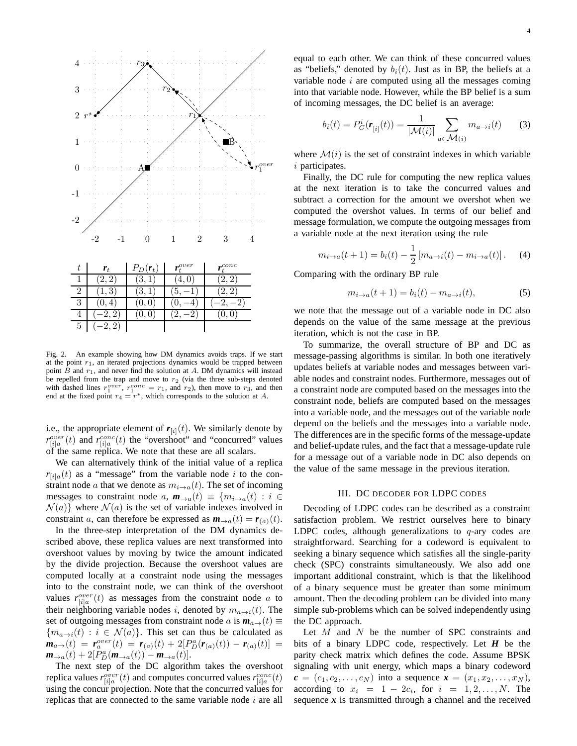

<span id="page-3-0"></span>Fig. 2. An example showing how DM dynamics avoids traps. If we start at the point  $r_1$ , an iterated projections dynamics would be trapped between point  $B$  and  $r_1$ , and never find the solution at  $A$ . DM dynamics will instead be repelled from the trap and move to  $r_2$  (via the three sub-steps denoted with dashed lines  $r_1^{over}, r_1^{conc} = r_1$ , and  $r_2$ ), then move to  $r_3$ , and then end at the fixed point  $r_4 = r^*$ , which corresponds to the solution at A.

i.e., the appropriate element of  $r_{[i]}(t)$ . We similarly denote by  $r_{[i]a}^{over}(t)$  and  $r_{[i]a}^{conc}(t)$  the "overshoot" and "concurred" values of the same replica. We note that these are all scalars.

We can alternatively think of the initial value of a replica  $r_{[i]a}(t)$  as a "message" from the variable node i to the constraint node a that we denote as  $m_{i\to a}(t)$ . The set of incoming messages to constraint node a,  $\mathbf{m}_{\rightarrow a}(t) \equiv \{m_{i\rightarrow a}(t) : i \in$  $\mathcal{N}(a)$  where  $\mathcal{N}(a)$  is the set of variable indexes involved in constraint a, can therefore be expressed as  $\mathbf{m}_{\rightarrow a}(t) = \mathbf{r}_{(a)}(t)$ .

In the three-step interpretation of the DM dynamics described above, these replica values are next transformed into overshoot values by moving by twice the amount indicated by the divide projection. Because the overshoot values are computed locally at a constraint node using the messages into to the constraint node, we can think of the overshoot values  $r_{[i]a}^{over}(t)$  as messages from the constraint node a to their neighboring variable nodes i, denoted by  $m_{a\to i}(t)$ . The set of outgoing messages from constraint node *a* is  $m_{a\rightarrow}(t) \equiv$  ${m_{a\to i}(t) : i \in \mathcal{N}(a)}$ . This set can thus be calculated as  $m_{a\to}(t) = r_a^{over}(t) = r_{(a)}(t) + 2[P_B^a(r_{(a)}(t)) - r_{(a)}(t)] =$  $m_{\to a}(t) + 2[P_D^a(m_{\to a}(t)) - m_{\to a}(t)].$ 

The next step of the DC algorithm takes the overshoot replica values  $r_{[i]a}^{over}(t)$  and computes concurred values  $r_{[i]a}^{conc}(t)$ using the concur projection. Note that the concurred values for replicas that are connected to the same variable node  $i$  are all

4

equal to each other. We can think of these concurred values as "beliefs," denoted by  $b_i(t)$ . Just as in BP, the beliefs at a variable node  $i$  are computed using all the messages coming into that variable node. However, while the BP belief is a sum of incoming messages, the DC belief is an average:

$$
b_i(t) = P_C^i(\mathbf{r}_{[i]}(t)) = \frac{1}{|\mathcal{M}(i)|} \sum_{a \in \mathcal{M}(i)} m_{a \to i}(t) \qquad (3)
$$

where  $\mathcal{M}(i)$  is the set of constraint indexes in which variable  $i$  participates.

Finally, the DC rule for computing the new replica values at the next iteration is to take the concurred values and subtract a correction for the amount we overshot when we computed the overshot values. In terms of our belief and message formulation, we compute the outgoing messages from a variable node at the next iteration using the rule

<span id="page-3-1"></span>
$$
m_{i \to a}(t+1) = b_i(t) - \frac{1}{2} [m_{a \to i}(t) - m_{i \to a}(t)].
$$
 (4)

Comparing with the ordinary BP rule

$$
m_{i \to a}(t+1) = b_i(t) - m_{a \to i}(t),
$$
 (5)

we note that the message out of a variable node in DC also depends on the value of the same message at the previous iteration, which is not the case in BP.

To summarize, the overall structure of BP and DC as message-passing algorithms is similar. In both one iteratively updates beliefs at variable nodes and messages between variable nodes and constraint nodes. Furthermore, messages out of a constraint node are computed based on the messages into the constraint node, beliefs are computed based on the messages into a variable node, and the messages out of the variable node depend on the beliefs and the messages into a variable node. The differences are in the specific forms of the message-update and belief-update rules, and the fact that a message-update rule for a message out of a variable node in DC also depends on the value of the same message in the previous iteration.

## III. DC DECODER FOR LDPC CODES

<span id="page-3-2"></span>Decoding of LDPC codes can be described as a constraint satisfaction problem. We restrict ourselves here to binary LDPC codes, although generalizations to  $q$ -ary codes are straightforward. Searching for a codeword is equivalent to seeking a binary sequence which satisfies all the single-parity check (SPC) constraints simultaneously. We also add one important additional constraint, which is that the likelihood of a binary sequence must be greater than some minimum amount. Then the decoding problem can be divided into many simple sub-problems which can be solved independently using the DC approach.

Let  $M$  and  $N$  be the number of SPC constraints and bits of a binary LDPC code, respectively. Let *H* be the parity check matrix which defines the code. Assume BPSK signaling with unit energy, which maps a binary codeword  $c = (c_1, c_2, \ldots, c_N)$  into a sequence  $x = (x_1, x_2, \ldots, x_N)$ , according to  $x_i = 1 - 2c_i$ , for  $i = 1, 2, ..., N$ . The sequence  $x$  is transmitted through a channel and the received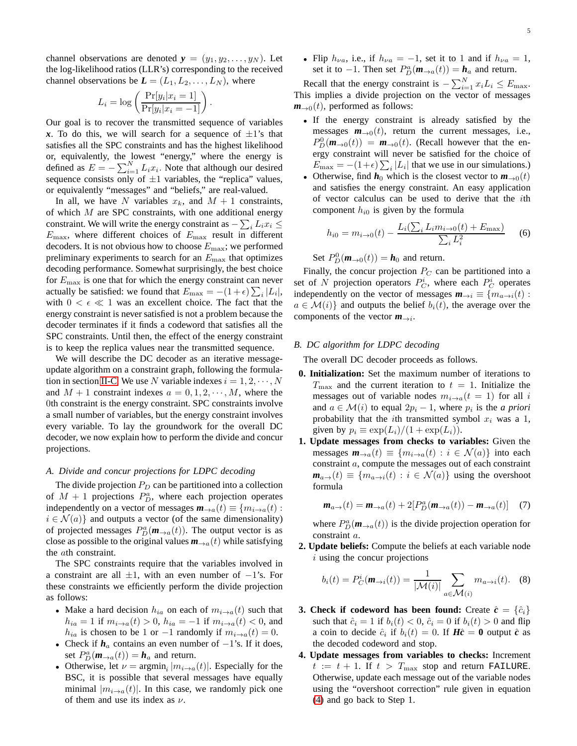channel observations are denoted  $y = (y_1, y_2, \dots, y_N)$ . Let the log-likelihood ratios (LLR's) corresponding to the received channel observations be  $L = (L_1, L_2, \ldots, L_N)$ , where

$$
L_i = \log\left(\frac{\Pr[y_i|x_i=1]}{\Pr[y_i|x_i=-1]}\right).
$$

Our goal is to recover the transmitted sequence of variables x. To do this, we will search for a sequence of  $\pm 1$ 's that satisfies all the SPC constraints and has the highest likelihood or, equivalently, the lowest "energy," where the energy is defined as  $E = -\sum_{i=1}^{N} L_i x_i$ . Note that although our desired sequence consists only of  $\pm 1$  variables, the "replica" values, or equivalently "messages" and "beliefs," are real-valued.

In all, we have N variables  $x_k$ , and  $M + 1$  constraints, of which  $M$  are SPC constraints, with one additional energy constraint. We will write the energy constraint as  $-\sum_{i} L_i x_i \leq$  $E_{\text{max}}$ , where different choices of  $E_{\text{max}}$  result in different decoders. It is not obvious how to choose  $E_{\text{max}}$ ; we performed preliminary experiments to search for an  $E_{\text{max}}$  that optimizes decoding performance. Somewhat surprisingly, the best choice for  $E_{\text{max}}$  is one that for which the energy constraint can never actually be satisfied: we found that  $E_{\text{max}} = -(1 + \epsilon) \sum_i |L_i|$ , with  $0 < \epsilon \ll 1$  was an excellent choice. The fact that the energy constraint is never satisfied is not a problem because the decoder terminates if it finds a codeword that satisfies all the SPC constraints. Until then, the effect of the energy constraint is to keep the replica values near the transmitted sequence.

We will describe the DC decoder as an iterative messageupdate algorithm on a constraint graph, following the formula-tion in section [II-C.](#page-2-1) We use N variable indexes  $i = 1, 2, \dots, N$ and  $M + 1$  constraint indexes  $a = 0, 1, 2, \dots, M$ , where the 0th constraint is the energy constraint. SPC constraints involve a small number of variables, but the energy constraint involves every variable. To lay the groundwork for the overall DC decoder, we now explain how to perform the divide and concur projections.

#### *A. Divide and concur projections for LDPC decoding*

The divide projection  $P_D$  can be partitioned into a collection of  $M + 1$  projections  $P_D^a$ , where each projection operates independently on a vector of messages  $\mathbf{m}_{\rightarrow a}(t) \equiv \{m_{i \rightarrow a}(t) :$  $i \in \mathcal{N}(a)$  and outputs a vector (of the same dimensionality) of projected messages  $P_D^a(\mathbf{m}_{\to a}(t))$ . The output vector is as close as possible to the original values  $m_{\rightarrow a}(t)$  while satisfying the ath constraint.

The SPC constraints require that the variables involved in a constraint are all  $\pm 1$ , with an even number of  $-1$ 's. For these constraints we efficiently perform the divide projection as follows:

- Make a hard decision  $h_{ia}$  on each of  $m_{i\rightarrow a}(t)$  such that  $h_{ia} = 1$  if  $m_{i \to a}(t) > 0$ ,  $h_{ia} = -1$  if  $m_{i \to a}(t) < 0$ , and  $h_{ia}$  is chosen to be 1 or -1 randomly if  $m_{i\rightarrow a}(t) = 0$ .
- Check if  $h_a$  contains an even number of  $-1$ 's. If it does, set  $P_D^a(\mathbf{m}_{\to a}(t)) = \mathbf{h}_a$  and return.
- Otherwise, let  $\nu = \operatorname{argmin}_i |m_{i \to a}(t)|$ . Especially for the BSC, it is possible that several messages have equally minimal  $|m_{i\rightarrow a}(t)|$ . In this case, we randomly pick one of them and use its index as  $\nu$ .

• Flip  $h_{\nu a}$ , i.e., if  $h_{\nu a} = -1$ , set it to 1 and if  $h_{\nu a} = 1$ , set it to  $-1$ . Then set  $P_D^a(\mathbf{m}_{\to a}(t)) = \mathbf{h}_a$  and return.

Recall that the energy constraint is  $-\sum_{i=1}^{N} x_i L_i \le E_{\text{max}}$ . This implies a divide projection on the vector of messages  $m_{\rightarrow 0}(t)$ , performed as follows:

- If the energy constraint is already satisfied by the messages  $m_{\rightarrow 0}(t)$ , return the current messages, i.e.,  $P_D^0(\mathbf{m}_{\to 0}(t)) = \mathbf{m}_{\to 0}(t)$ . (Recall however that the energy constraint will never be satisfied for the choice of  $E_{\text{max}} = -(1+\epsilon) \sum_i |L_i|$  that we use in our simulations.)
- Otherwise, find  $h_0$  which is the closest vector to  $m_{\rightarrow 0}(t)$ and satisfies the energy constraint. An easy application of vector calculus can be used to derive that the ith component  $h_{i0}$  is given by the formula

$$
h_{i0} = m_{i \to 0}(t) - \frac{L_i(\sum_i L_i m_{i \to 0}(t) + E_{\text{max}})}{\sum_i L_i^2}
$$
 (6)

Set  $P_D^0(\mathbf{m}_{\to 0}(t)) = \mathbf{h}_0$  and return.

Finally, the concur projection  $P_C$  can be partitioned into a set of N projection operators  $P_C^i$ , where each  $P_C^i$  operates independently on the vector of messages  $\mathbf{m}_{\rightarrow i} \equiv \{m_{a \rightarrow i}(t) :$  $a \in \mathcal{M}(i)$  and outputs the belief  $b_i(t)$ , the average over the components of the vector  $m_{\rightarrow i}$ .

## *B. DC algorithm for LDPC decoding*

The overall DC decoder proceeds as follows.

- **0. Initialization:** Set the maximum number of iterations to  $T_{\text{max}}$  and the current iteration to  $t = 1$ . Initialize the messages out of variable nodes  $m_{i\rightarrow a}(t = 1)$  for all i and  $a \in \mathcal{M}(i)$  to equal  $2p_i - 1$ , where  $p_i$  is the *a priori* probability that the *i*th transmitted symbol  $x_i$  was a 1, given by  $p_i \equiv \exp(L_i)/(1 + \exp(L_i)).$
- **1. Update messages from checks to variables:** Given the messages  $\mathbf{m}_{\to a}(t) \equiv \{m_{i\to a}(t) : i \in \mathcal{N}(a)\}\$ into each constraint a, compute the messages out of each constraint  $m_{a\to}(t) \equiv \{m_{a\to i}(t) : i \in \mathcal{N}(a)\}\$ using the overshoot formula

$$
\mathbf{m}_{a\to}(t) = \mathbf{m}_{\to a}(t) + 2[P_D^a(\mathbf{m}_{\to a}(t)) - \mathbf{m}_{\to a}(t)] \quad (7)
$$

where  $P_D^a(\mathbf{m}_{\to a}(t))$  is the divide projection operation for constraint a.

**2. Update beliefs:** Compute the beliefs at each variable node  $i$  using the concur projections

$$
b_i(t) = P_C^i(\mathbf{m}_{\to i}(t)) = \frac{1}{|\mathcal{M}(i)|} \sum_{a \in \mathcal{M}(i)} m_{a \to i}(t). \quad (8)
$$

- **3. Check if codeword has been found:** Create  $\hat{c} = \{\hat{c}_i\}$ such that  $\hat{c}_i = 1$  if  $b_i(t) < 0$ ,  $\hat{c}_i = 0$  if  $b_i(t) > 0$  and flip a coin to decide  $\hat{c}_i$  if  $b_i(t) = 0$ . If  $H\hat{c} = 0$  output  $\hat{c}$  as the decoded codeword and stop.
- **4. Update messages from variables to checks:** Increment  $t := t + 1$ . If  $t > T_{\text{max}}$  stop and return FAILURE. Otherwise, update each message out of the variable nodes using the "overshoot correction" rule given in equation [\(4\)](#page-3-1) and go back to Step 1.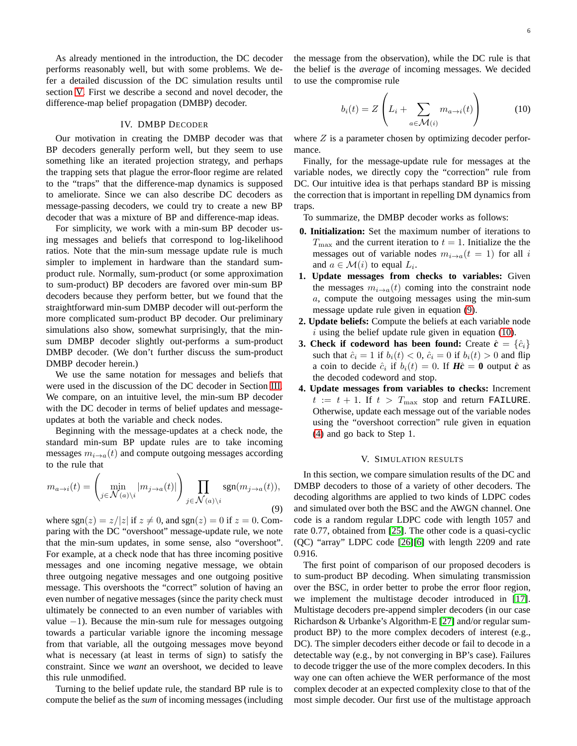As already mentioned in the introduction, the DC decoder performs reasonably well, but with some problems. We defer a detailed discussion of the DC simulation results until section [V.](#page-5-0) First we describe a second and novel decoder, the difference-map belief propagation (DMBP) decoder.

# IV. DMBP DECODER

Our motivation in creating the DMBP decoder was that BP decoders generally perform well, but they seem to use something like an iterated projection strategy, and perhaps the trapping sets that plague the error-floor regime are related to the "traps" that the difference-map dynamics is supposed to ameliorate. Since we can also describe DC decoders as message-passing decoders, we could try to create a new BP decoder that was a mixture of BP and difference-map ideas.

For simplicity, we work with a min-sum BP decoder using messages and beliefs that correspond to log-likelihood ratios. Note that the min-sum message update rule is much simpler to implement in hardware than the standard sumproduct rule. Normally, sum-product (or some approximation to sum-product) BP decoders are favored over min-sum BP decoders because they perform better, but we found that the straightforward min-sum DMBP decoder will out-perform the more complicated sum-product BP decoder. Our preliminary simulations also show, somewhat surprisingly, that the minsum DMBP decoder slightly out-performs a sum-product DMBP decoder. (We don't further discuss the sum-product DMBP decoder herein.)

We use the same notation for messages and beliefs that were used in the discussion of the DC decoder in Section [III.](#page-3-2) We compare, on an intuitive level, the min-sum BP decoder with the DC decoder in terms of belief updates and messageupdates at both the variable and check nodes.

Beginning with the message-updates at a check node, the standard min-sum BP update rules are to take incoming messages  $m_{i\to a}(t)$  and compute outgoing messages according to the rule that

<span id="page-5-1"></span>
$$
m_{a \to i}(t) = \left(\min_{j \in \mathcal{N}(a) \backslash i} |m_{j \to a}(t)|\right) \prod_{j \in \mathcal{N}(a) \backslash i} \text{sgn}(m_{j \to a}(t)),\tag{9}
$$

where sgn(z) =  $z/|z|$  if  $z \neq 0$ , and sgn(z) = 0 if  $z = 0$ . Comparing with the DC "overshoot" message-update rule, we note that the min-sum updates, in some sense, also "overshoot". For example, at a check node that has three incoming positive messages and one incoming negative message, we obtain three outgoing negative messages and one outgoing positive message. This overshoots the "correct" solution of having an even number of negative messages (since the parity check must ultimately be connected to an even number of variables with value  $-1$ ). Because the min-sum rule for messages outgoing towards a particular variable ignore the incoming message from that variable, all the outgoing messages move beyond what is necessary (at least in terms of sign) to satisfy the constraint. Since we *want* an overshoot, we decided to leave this rule unmodified.

Turning to the belief update rule, the standard BP rule is to compute the belief as the *sum* of incoming messages (including the message from the observation), while the DC rule is that the belief is the *average* of incoming messages. We decided to use the compromise rule

<span id="page-5-2"></span>
$$
b_i(t) = Z\left(L_i + \sum_{a \in \mathcal{M}(i)} m_{a \to i}(t)\right) \tag{10}
$$

where  $Z$  is a parameter chosen by optimizing decoder performance.

Finally, for the message-update rule for messages at the variable nodes, we directly copy the "correction" rule from DC. Our intuitive idea is that perhaps standard BP is missing the correction that is important in repelling DM dynamics from traps.

To summarize, the DMBP decoder works as follows:

- **0. Initialization:** Set the maximum number of iterations to  $T_{\text{max}}$  and the current iteration to  $t = 1$ . Initialize the the messages out of variable nodes  $m_{i\rightarrow a}(t = 1)$  for all i and  $a \in \mathcal{M}(i)$  to equal  $L_i$ .
- **1. Update messages from checks to variables:** Given the messages  $m_{i\rightarrow a}(t)$  coming into the constraint node a, compute the outgoing messages using the min-sum message update rule given in equation [\(9\)](#page-5-1).
- **2. Update beliefs:** Compute the beliefs at each variable node  $i$  using the belief update rule given in equation [\(10\)](#page-5-2).
- **3. Check if codeword has been found:** Create  $\hat{c} = \{\hat{c}_i\}$ such that  $\hat{c}_i = 1$  if  $b_i(t) < 0$ ,  $\hat{c}_i = 0$  if  $b_i(t) > 0$  and flip a coin to decide  $\hat{c}_i$  if  $b_i(t) = 0$ . If  $H\hat{c} = 0$  output  $\hat{c}$  as the decoded codeword and stop.
- **4. Update messages from variables to checks:** Increment  $t := t + 1$ . If  $t > T_{\text{max}}$  stop and return FAILURE. Otherwise, update each message out of the variable nodes using the "overshoot correction" rule given in equation [\(4\)](#page-3-1) and go back to Step 1.

## V. SIMULATION RESULTS

<span id="page-5-0"></span>In this section, we compare simulation results of the DC and DMBP decoders to those of a variety of other decoders. The decoding algorithms are applied to two kinds of LDPC codes and simulated over both the BSC and the AWGN channel. One code is a random regular LDPC code with length 1057 and rate 0.77, obtained from [\[25\]](#page-9-14). The other code is a quasi-cyclic (QC) "array" LDPC code [\[26\]](#page-9-15)[\[6\]](#page-8-5) with length 2209 and rate 0.916.

The first point of comparison of our proposed decoders is to sum-product BP decoding. When simulating transmission over the BSC, in order better to probe the error floor region, we implement the multistage decoder introduced in [\[17\]](#page-9-6). Multistage decoders pre-append simpler decoders (in our case Richardson & Urbanke's Algorithm-E [\[27\]](#page-9-16) and/or regular sumproduct BP) to the more complex decoders of interest (e.g., DC). The simpler decoders either decode or fail to decode in a detectable way (e.g., by not converging in BP's case). Failures to decode trigger the use of the more complex decoders. In this way one can often achieve the WER performance of the most complex decoder at an expected complexity close to that of the most simple decoder. Our first use of the multistage approach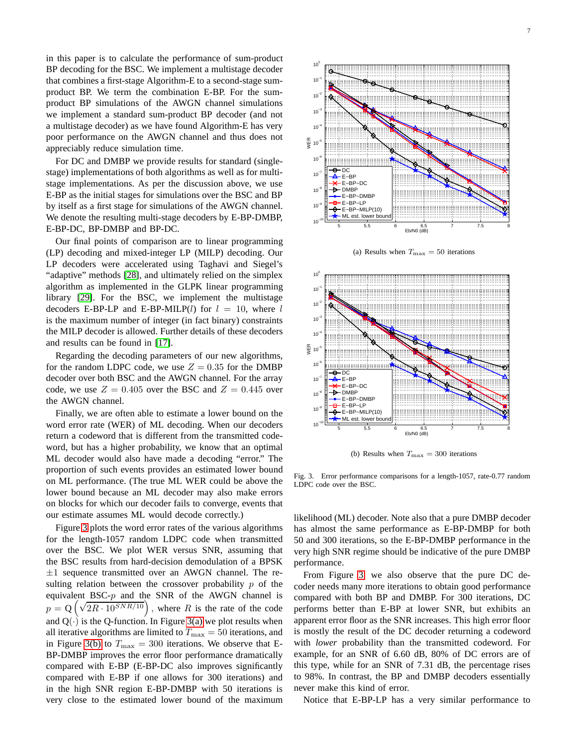in this paper is to calculate the performance of sum-product BP decoding for the BSC. We implement a multistage decoder that combines a first-stage Algorithm-E to a second-stage sumproduct BP. We term the combination E-BP. For the sumproduct BP simulations of the AWGN channel simulations we implement a standard sum-product BP decoder (and not a multistage decoder) as we have found Algorithm-E has very poor performance on the AWGN channel and thus does not appreciably reduce simulation time.

For DC and DMBP we provide results for standard (singlestage) implementations of both algorithms as well as for multistage implementations. As per the discussion above, we use E-BP as the initial stages for simulations over the BSC and BP by itself as a first stage for simulations of the AWGN channel. We denote the resulting multi-stage decoders by E-BP-DMBP, E-BP-DC, BP-DMBP and BP-DC.

Our final points of comparison are to linear programming (LP) decoding and mixed-integer LP (MILP) decoding. Our LP decoders were accelerated using Taghavi and Siegel's "adaptive" methods [\[28\]](#page-9-17), and ultimately relied on the simplex algorithm as implemented in the GLPK linear programming library [\[29\]](#page-9-18). For the BSC, we implement the multistage decoders E-BP-LP and E-BP-MILP(l) for  $l = 10$ , where l is the maximum number of integer (in fact binary) constraints the MILP decoder is allowed. Further details of these decoders and results can be found in [\[17\]](#page-9-6).

Regarding the decoding parameters of our new algorithms, for the random LDPC code, we use  $Z = 0.35$  for the DMBP decoder over both BSC and the AWGN channel. For the array code, we use  $Z = 0.405$  over the BSC and  $Z = 0.445$  over the AWGN channel.

Finally, we are often able to estimate a lower bound on the word error rate (WER) of ML decoding. When our decoders return a codeword that is different from the transmitted codeword, but has a higher probability, we know that an optimal ML decoder would also have made a decoding "error." The proportion of such events provides an estimated lower bound on ML performance. (The true ML WER could be above the lower bound because an ML decoder may also make errors on blocks for which our decoder fails to converge, events that our estimate assumes ML would decode correctly.)

Figure [3](#page-6-0) plots the word error rates of the various algorithms for the length-1057 random LDPC code when transmitted over the BSC. We plot WER versus SNR, assuming that the BSC results from hard-decision demodulation of a BPSK  $\pm 1$  sequence transmitted over an AWGN channel. The resulting relation between the crossover probability  $p$  of the equivalent BSC- $p$  and the SNR of the AWGN channel is  $p = Q\left(\sqrt{2R \cdot 10^{SNR/10}}\right)$ , where R is the rate of the code and  $Q(\cdot)$  is the Q-function. In Figure [3\(a\)](#page-6-1) we plot results when all iterative algorithms are limited to  $T_{\text{max}} = 50$  iterations, and in Figure [3\(b\)](#page-6-2) to  $T_{\text{max}} = 300$  iterations. We observe that E-BP-DMBP improves the error floor performance dramatically compared with E-BP (E-BP-DC also improves significantly compared with E-BP if one allows for 300 iterations) and in the high SNR region E-BP-DMBP with 50 iterations is very close to the estimated lower bound of the maximum

<span id="page-6-1"></span>

(a) Results when  $T_{\text{max}} = 50$  iterations



(b) Results when  $T_{\text{max}} = 300$  iterations

<span id="page-6-2"></span><span id="page-6-0"></span>Fig. 3. Error performance comparisons for a length-1057, rate-0.77 random LDPC code over the BSC.

likelihood (ML) decoder. Note also that a pure DMBP decoder has almost the same performance as E-BP-DMBP for both 50 and 300 iterations, so the E-BP-DMBP performance in the very high SNR regime should be indicative of the pure DMBP performance.

From Figure [3,](#page-6-0) we also observe that the pure DC decoder needs many more iterations to obtain good performance compared with both BP and DMBP. For 300 iterations, DC performs better than E-BP at lower SNR, but exhibits an apparent error floor as the SNR increases. This high error floor is mostly the result of the DC decoder returning a codeword with *lower* probability than the transmitted codeword. For example, for an SNR of 6.60 dB, 80% of DC errors are of this type, while for an SNR of 7.31 dB, the percentage rises to 98%. In contrast, the BP and DMBP decoders essentially never make this kind of error.

Notice that E-BP-LP has a very similar performance to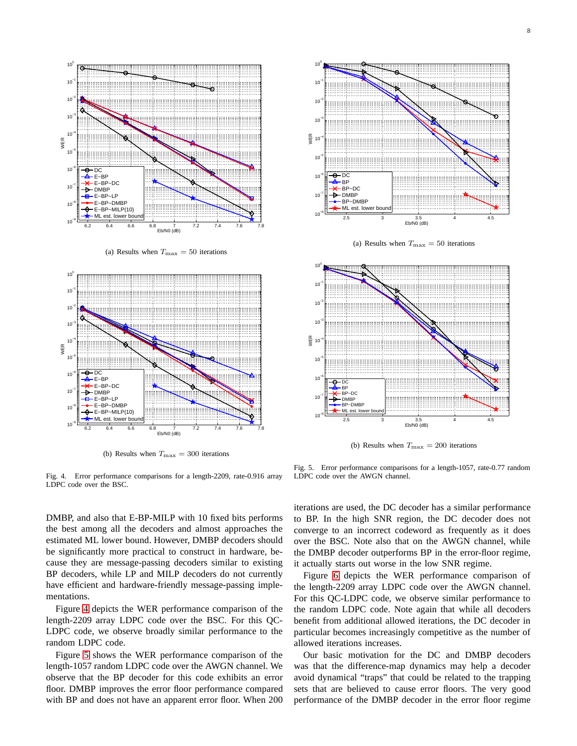

(a) Results when  $T_{\text{max}} = 50$  iterations



(b) Results when  $T_{\text{max}} = 300$  iterations



(a) Results when  $T_{\text{max}} = 50$  iterations



(b) Results when  $T_{\text{max}} = 200$  iterations

<span id="page-7-0"></span>Fig. 4. Error performance comparisons for a length-2209, rate-0.916 array LDPC code over the BSC.

<span id="page-7-1"></span>Fig. 5. Error performance comparisons for a length-1057, rate-0.77 random LDPC code over the AWGN channel.

DMBP, and also that E-BP-MILP with 10 fixed bits performs the best among all the decoders and almost approaches the estimated ML lower bound. However, DMBP decoders should be significantly more practical to construct in hardware, because they are message-passing decoders similar to existing BP decoders, while LP and MILP decoders do not currently have efficient and hardware-friendly message-passing implementations.

Figure [4](#page-7-0) depicts the WER performance comparison of the length-2209 array LDPC code over the BSC. For this QC-LDPC code, we observe broadly similar performance to the random LDPC code.

Figure [5](#page-7-1) shows the WER performance comparison of the length-1057 random LDPC code over the AWGN channel. We observe that the BP decoder for this code exhibits an error floor. DMBP improves the error floor performance compared with BP and does not have an apparent error floor. When 200 iterations are used, the DC decoder has a similar performance to BP. In the high SNR region, the DC decoder does not converge to an incorrect codeword as frequently as it does over the BSC. Note also that on the AWGN channel, while the DMBP decoder outperforms BP in the error-floor regime, it actually starts out worse in the low SNR regime.

Figure [6](#page-8-10) depicts the WER performance comparison of the length-2209 array LDPC code over the AWGN channel. For this QC-LDPC code, we observe similar performance to the random LDPC code. Note again that while all decoders benefit from additional allowed iterations, the DC decoder in particular becomes increasingly competitive as the number of allowed iterations increases.

Our basic motivation for the DC and DMBP decoders was that the difference-map dynamics may help a decoder avoid dynamical "traps" that could be related to the trapping sets that are believed to cause error floors. The very good performance of the DMBP decoder in the error floor regime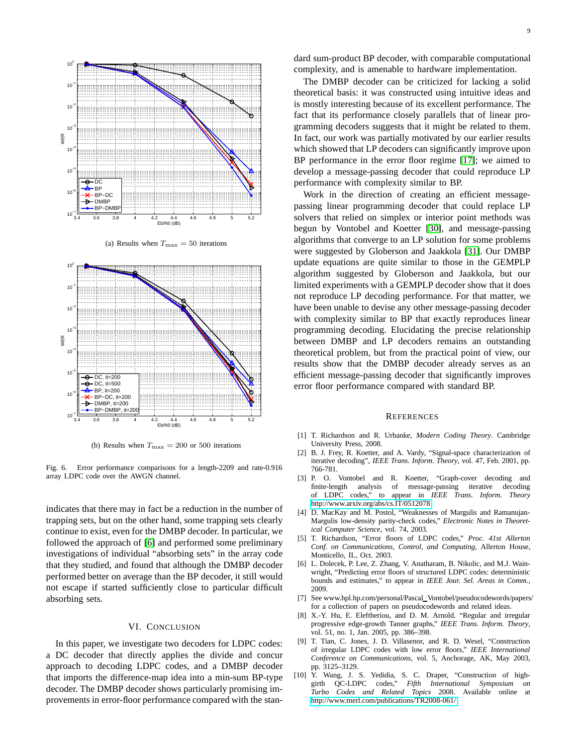

(a) Results when  $T_{\text{max}} = 50$  iterations



(b) Results when  $T_{\text{max}} = 200$  or 500 iterations

<span id="page-8-10"></span>Fig. 6. Error performance comparisons for a length-2209 and rate-0.916 array LDPC code over the AWGN channel.

indicates that there may in fact be a reduction in the number of trapping sets, but on the other hand, some trapping sets clearly continue to exist, even for the DMBP decoder. In particular, we followed the approach of [\[6\]](#page-8-5) and performed some preliminary investigations of individual "absorbing sets" in the array code that they studied, and found that although the DMBP decoder performed better on average than the BP decoder, it still would not escape if started sufficiently close to particular difficult absorbing sets.

# VI. CONCLUSION

In this paper, we investigate two decoders for LDPC codes: a DC decoder that directly applies the divide and concur approach to decoding LDPC codes, and a DMBP decoder that imports the difference-map idea into a min-sum BP-type decoder. The DMBP decoder shows particularly promising improvements in error-floor performance compared with the standard sum-product BP decoder, with comparable computational complexity, and is amenable to hardware implementation.

The DMBP decoder can be criticized for lacking a solid theoretical basis: it was constructed using intuitive ideas and is mostly interesting because of its excellent performance. The fact that its performance closely parallels that of linear programming decoders suggests that it might be related to them. In fact, our work was partially motivated by our earlier results which showed that LP decoders can significantly improve upon BP performance in the error floor regime [\[17\]](#page-9-6); we aimed to develop a message-passing decoder that could reproduce LP performance with complexity similar to BP.

Work in the direction of creating an efficient messagepassing linear programming decoder that could replace LP solvers that relied on simplex or interior point methods was begun by Vontobel and Koetter [\[30\]](#page-9-19), and message-passing algorithms that converge to an LP solution for some problems were suggested by Globerson and Jaakkola [\[31\]](#page-9-20). Our DMBP update equations are quite similar to those in the GEMPLP algorithm suggested by Globerson and Jaakkola, but our limited experiments with a GEMPLP decoder show that it does not reproduce LP decoding performance. For that matter, we have been unable to devise any other message-passing decoder with complexity similar to BP that exactly reproduces linear programming decoding. Elucidating the precise relationship between DMBP and LP decoders remains an outstanding theoretical problem, but from the practical point of view, our results show that the DMBP decoder already serves as an efficient message-passing decoder that significantly improves error floor performance compared with standard BP.

#### **REFERENCES**

- <span id="page-8-0"></span>[1] T. Richardson and R. Urbanke, *Modern Coding Theory*. Cambridge University Press, 2008.
- <span id="page-8-1"></span>[2] B. J. Frey, R. Koetter, and A. Vardy, "Signal-space characterization of iterative decoding", *IEEE Trans. Inform. Theory*, vol. 47, Feb. 2001, pp. 766-781.
- <span id="page-8-2"></span>[3] P. O. Vontobel and R. Koetter, "Graph-cover decoding and finite-length analysis of message-passing iterative decoding of LDPC codes," to appear in *IEEE Trans. Inform. Theory* [http://www.arxiv.org/abs/cs.IT/0512078.](http://www.arxiv.org/abs/cs.IT/0512078)
- <span id="page-8-3"></span>[4] D. MacKay and M. Postol, "Weaknesses of Margulis and Ramanujan-Margulis low-density parity-check codes," *Electronic Notes in Theoretical Computer Science*, vol. 74, 2003.
- <span id="page-8-4"></span>[5] T. Richardson, "Error floors of LDPC codes," *Proc. 41st Allerton Conf. on Communications, Control, and Computing*, Allerton House, Monticello, IL, Oct. 2003.
- <span id="page-8-5"></span>[6] L. Dolecek, P. Lee, Z. Zhang, V. Anatharam, B. Nikolic, and M.J. Wainwright, "Predicting error floors of structured LDPC codes: deterministic bounds and estimates," to appear in *IEEE Jour. Sel. Areas in Comm.*, 2009.
- <span id="page-8-6"></span>[7] See www.hpl.hp.com/personal/Pascal Vontobel/pseudocodewords/papers/ for a collection of papers on pseudocodewords and related ideas.
- <span id="page-8-7"></span>[8] X.-Y. Hu, E. Eleftheriou, and D. M. Arnold. "Regular and irregular progressive edge-growth Tanner graphs," *IEEE Trans. Inform. Theory*, vol. 51, no. 1, Jan. 2005, pp. 386–398.
- <span id="page-8-8"></span>[9] T. Tian, C. Jones, J. D. Villasenor, and R. D. Wesel, "Construction of irregular LDPC codes with low error floors," *IEEE International Conference on Communications*, vol. 5, Anchorage, AK, May 2003, pp. 3125–3129.
- <span id="page-8-9"></span>[10] Y. Wang, J. S. Yedidia, S. C. Draper, "Construction of highgirth QC-LDPC codes," *Fifth International Symposium on Turbo Codes and Related Topics* 2008. Available online at [http://www.merl.com/publications/TR2008-061/.](http://www.merl.com/publications/TR2008-061/)